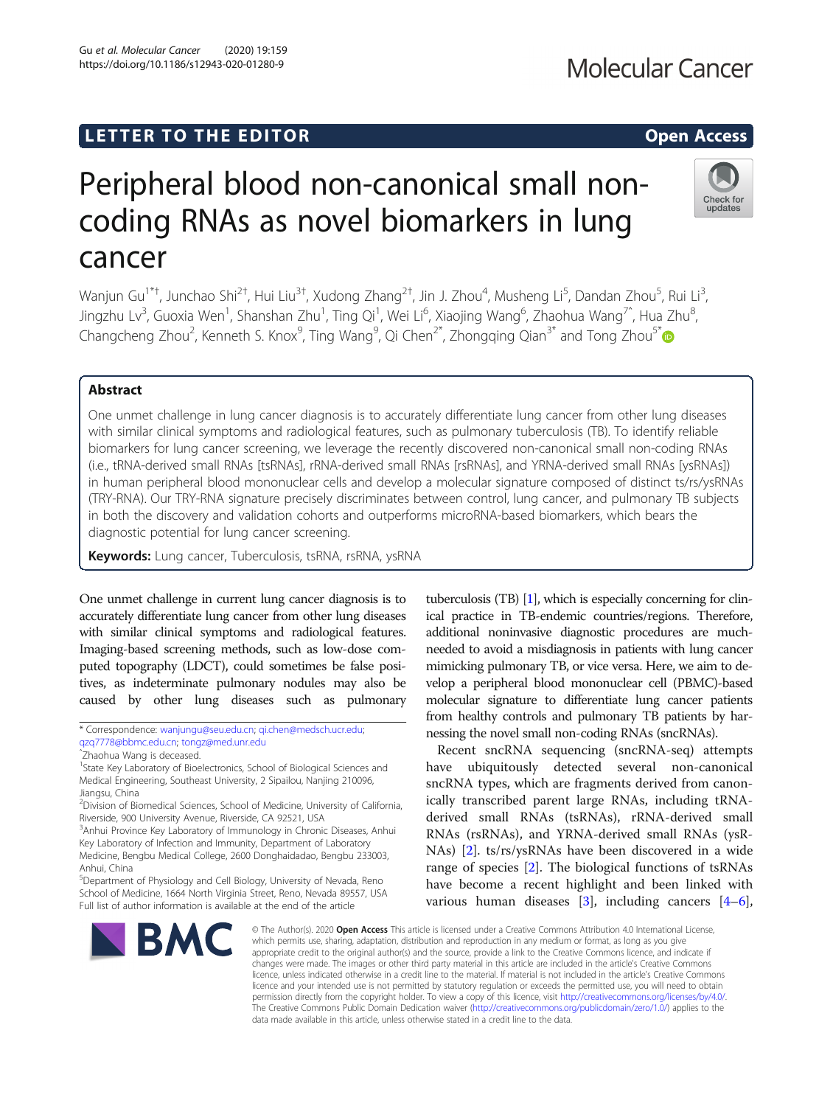## LETTER TO THE EDITOR **CONSIDERATION**

# Peripheral blood non-canonical small noncoding RNAs as novel biomarkers in lung cancer

Wanjun Gu<sup>1\*†</sup>, Junchao Shi<sup>2†</sup>, Hui Liu<sup>3†</sup>, Xudong Zhang<sup>2†</sup>, Jin J. Zhou<sup>4</sup>, Musheng Li<sup>5</sup>, Dandan Zhou<sup>5</sup>, Rui Li<sup>3</sup> , Jingzhu Lv<sup>3</sup>, Guoxia Wen<sup>1</sup>, Shanshan Zhu<sup>1</sup>, Ting Qi<sup>1</sup>, Wei Li<sup>6</sup>, Xiaojing Wang<sup>6</sup>, Zhaohua Wang<sup>7^</sup>, Hua Zhu<sup>8</sup> , Changcheng Zhou<sup>2</sup>, Kenneth S. Knox<sup>9</sup>, Ting Wang<sup>9</sup>, Qi Chen<sup>2[\\*](http://orcid.org/0000-0003-2361-1931)</sup>, Zhongqing Qian<sup>3\*</sup> and Tong Zhou<sup>5\*</sup>

## Abstract

One unmet challenge in lung cancer diagnosis is to accurately differentiate lung cancer from other lung diseases with similar clinical symptoms and radiological features, such as pulmonary tuberculosis (TB). To identify reliable biomarkers for lung cancer screening, we leverage the recently discovered non-canonical small non-coding RNAs (i.e., tRNA-derived small RNAs [tsRNAs], rRNA-derived small RNAs [rsRNAs], and YRNA-derived small RNAs [ysRNAs]) in human peripheral blood mononuclear cells and develop a molecular signature composed of distinct ts/rs/ysRNAs (TRY-RNA). Our TRY-RNA signature precisely discriminates between control, lung cancer, and pulmonary TB subjects in both the discovery and validation cohorts and outperforms microRNA-based biomarkers, which bears the diagnostic potential for lung cancer screening.

Keywords: Lung cancer, Tuberculosis, tsRNA, rsRNA, ysRNA

One unmet challenge in current lung cancer diagnosis is to accurately differentiate lung cancer from other lung diseases with similar clinical symptoms and radiological features. Imaging-based screening methods, such as low-dose computed topography (LDCT), could sometimes be false positives, as indeterminate pulmonary nodules may also be caused by other lung diseases such as pulmonary

tuberculosis (TB) [\[1](#page-4-0)], which is especially concerning for clinical practice in TB-endemic countries/regions. Therefore, additional noninvasive diagnostic procedures are muchneeded to avoid a misdiagnosis in patients with lung cancer mimicking pulmonary TB, or vice versa. Here, we aim to develop a peripheral blood mononuclear cell (PBMC)-based molecular signature to differentiate lung cancer patients from healthy controls and pulmonary TB patients by harnessing the novel small non-coding RNAs (sncRNAs). Recent sncRNA sequencing (sncRNA-seq) attempts

have ubiquitously detected several non-canonical sncRNA types, which are fragments derived from canonically transcribed parent large RNAs, including tRNAderived small RNAs (tsRNAs), rRNA-derived small RNAs (rsRNAs), and YRNA-derived small RNAs (ysR-NAs) [\[2](#page-4-0)]. ts/rs/ysRNAs have been discovered in a wide range of species [[2\]](#page-4-0). The biological functions of tsRNAs have become a recent highlight and been linked with various human diseases [[3\]](#page-4-0), including cancers [\[4](#page-4-0)–[6](#page-4-0)],

© The Author(s). 2020 Open Access This article is licensed under a Creative Commons Attribution 4.0 International License, which permits use, sharing, adaptation, distribution and reproduction in any medium or format, as long as you give appropriate credit to the original author(s) and the source, provide a link to the Creative Commons licence, and indicate if changes were made. The images or other third party material in this article are included in the article's Creative Commons licence, unless indicated otherwise in a credit line to the material. If material is not included in the article's Creative Commons licence and your intended use is not permitted by statutory regulation or exceeds the permitted use, you will need to obtain permission directly from the copyright holder. To view a copy of this licence, visit [http://creativecommons.org/licenses/by/4.0/.](http://creativecommons.org/licenses/by/4.0/) The Creative Commons Public Domain Dedication waiver [\(http://creativecommons.org/publicdomain/zero/1.0/](http://creativecommons.org/publicdomain/zero/1.0/)) applies to the data made available in this article, unless otherwise stated in a credit line to the data.









<sup>\*</sup> Correspondence: [wanjungu@seu.edu.cn;](mailto:wanjungu@seu.edu.cn) [qi.chen@medsch.ucr.edu](mailto:qi.chen@medsch.ucr.edu);

[qzq7778@bbmc.edu.cn](mailto:qzq7778@bbmc.edu.cn); [tongz@med.unr.edu](mailto:tongz@med.unr.edu)

ˆZhaohua Wang is deceased.

<sup>&</sup>lt;sup>1</sup>State Key Laboratory of Bioelectronics, School of Biological Sciences and Medical Engineering, Southeast University, 2 Sipailou, Nanjing 210096, Jiangsu, China

<sup>2</sup> Division of Biomedical Sciences, School of Medicine, University of California, Riverside, 900 University Avenue, Riverside, CA 92521, USA

<sup>&</sup>lt;sup>3</sup> Anhui Province Key Laboratory of Immunology in Chronic Diseases, Anhui Key Laboratory of Infection and Immunity, Department of Laboratory Medicine, Bengbu Medical College, 2600 Donghaidadao, Bengbu 233003, Anhui, China

<sup>5</sup> Department of Physiology and Cell Biology, University of Nevada, Reno School of Medicine, 1664 North Virginia Street, Reno, Nevada 89557, USA Full list of author information is available at the end of the article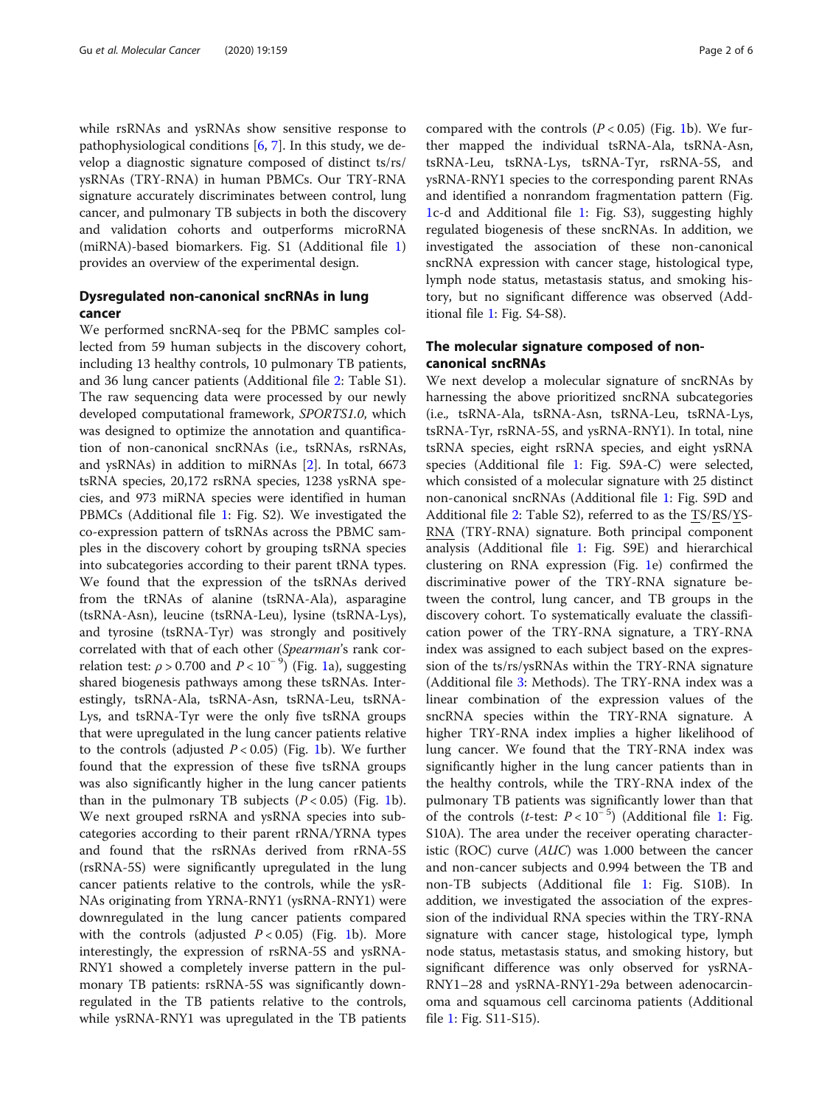while rsRNAs and ysRNAs show sensitive response to pathophysiological conditions [\[6](#page-4-0), [7\]](#page-4-0). In this study, we develop a diagnostic signature composed of distinct ts/rs/ ysRNAs (TRY-RNA) in human PBMCs. Our TRY-RNA signature accurately discriminates between control, lung cancer, and pulmonary TB subjects in both the discovery and validation cohorts and outperforms microRNA (miRNA)-based biomarkers. Fig. S1 (Additional file [1](#page-4-0)) provides an overview of the experimental design.

## Dysregulated non-canonical sncRNAs in lung cancer

We performed sncRNA-seq for the PBMC samples collected from 59 human subjects in the discovery cohort, including 13 healthy controls, 10 pulmonary TB patients, and 36 lung cancer patients (Additional file [2:](#page-4-0) Table S1). The raw sequencing data were processed by our newly developed computational framework, SPORTS1.0, which was designed to optimize the annotation and quantification of non-canonical sncRNAs (i.e., tsRNAs, rsRNAs, and ysRNAs) in addition to miRNAs [\[2](#page-4-0)]. In total, 6673 tsRNA species, 20,172 rsRNA species, 1238 ysRNA species, and 973 miRNA species were identified in human PBMCs (Additional file [1](#page-4-0): Fig. S2). We investigated the co-expression pattern of tsRNAs across the PBMC samples in the discovery cohort by grouping tsRNA species into subcategories according to their parent tRNA types. We found that the expression of the tsRNAs derived from the tRNAs of alanine (tsRNA-Ala), asparagine (tsRNA-Asn), leucine (tsRNA-Leu), lysine (tsRNA-Lys), and tyrosine (tsRNA-Tyr) was strongly and positively correlated with that of each other (Spearman's rank correlation test:  $\rho$  > 0.700 and  $P$  < 10<sup>−9</sup>) (Fig. [1a](#page-2-0)), suggesting shared biogenesis pathways among these tsRNAs. Interestingly, tsRNA-Ala, tsRNA-Asn, tsRNA-Leu, tsRNA-Lys, and tsRNA-Tyr were the only five tsRNA groups that were upregulated in the lung cancer patients relative to the controls (adjusted  $P < 0.05$ ) (Fig. [1](#page-2-0)b). We further found that the expression of these five tsRNA groups was also significantly higher in the lung cancer patients than in the pulmonary TB subjects  $(P < 0.05)$  (Fig. [1](#page-2-0)b). We next grouped rsRNA and ysRNA species into subcategories according to their parent rRNA/YRNA types and found that the rsRNAs derived from rRNA-5S (rsRNA-5S) were significantly upregulated in the lung cancer patients relative to the controls, while the ysR-NAs originating from YRNA-RNY1 (ysRNA-RNY1) were downregulated in the lung cancer patients compared with the controls (adjusted  $P < 0.05$ ) (Fig. [1b](#page-2-0)). More interestingly, the expression of rsRNA-5S and ysRNA-RNY1 showed a completely inverse pattern in the pulmonary TB patients: rsRNA-5S was significantly downregulated in the TB patients relative to the controls, while ysRNA-RNY1 was upregulated in the TB patients compared with the controls  $(P < 0.05)$  (Fig. [1](#page-2-0)b). We further mapped the individual tsRNA-Ala, tsRNA-Asn, tsRNA-Leu, tsRNA-Lys, tsRNA-Tyr, rsRNA-5S, and ysRNA-RNY1 species to the corresponding parent RNAs and identified a nonrandom fragmentation pattern (Fig. [1c](#page-2-0)-d and Additional file [1:](#page-4-0) Fig. S3), suggesting highly regulated biogenesis of these sncRNAs. In addition, we investigated the association of these non-canonical sncRNA expression with cancer stage, histological type, lymph node status, metastasis status, and smoking history, but no significant difference was observed (Additional file [1:](#page-4-0) Fig. S4-S8).

## The molecular signature composed of noncanonical sncRNAs

We next develop a molecular signature of sncRNAs by harnessing the above prioritized sncRNA subcategories (i.e., tsRNA-Ala, tsRNA-Asn, tsRNA-Leu, tsRNA-Lys, tsRNA-Tyr, rsRNA-5S, and ysRNA-RNY1). In total, nine tsRNA species, eight rsRNA species, and eight ysRNA species (Additional file [1](#page-4-0): Fig. S9A-C) were selected, which consisted of a molecular signature with 25 distinct non-canonical sncRNAs (Additional file [1:](#page-4-0) Fig. S9D and Additional file [2](#page-4-0): Table S2), referred to as the TS/RS/YS-RNA (TRY-RNA) signature. Both principal component analysis (Additional file [1](#page-4-0): Fig. S9E) and hierarchical clustering on RNA expression (Fig. [1](#page-2-0)e) confirmed the discriminative power of the TRY-RNA signature between the control, lung cancer, and TB groups in the discovery cohort. To systematically evaluate the classification power of the TRY-RNA signature, a TRY-RNA index was assigned to each subject based on the expression of the ts/rs/ysRNAs within the TRY-RNA signature (Additional file [3:](#page-4-0) Methods). The TRY-RNA index was a linear combination of the expression values of the sncRNA species within the TRY-RNA signature. A higher TRY-RNA index implies a higher likelihood of lung cancer. We found that the TRY-RNA index was significantly higher in the lung cancer patients than in the healthy controls, while the TRY-RNA index of the pulmonary TB patients was significantly lower than that of the controls (t-test:  $P < 10^{-5}$  $P < 10^{-5}$  $P < 10^{-5}$ ) (Additional file 1: Fig. S10A). The area under the receiver operating characteristic (ROC) curve (AUC) was 1.000 between the cancer and non-cancer subjects and 0.994 between the TB and non-TB subjects (Additional file [1:](#page-4-0) Fig. S10B). In addition, we investigated the association of the expression of the individual RNA species within the TRY-RNA signature with cancer stage, histological type, lymph node status, metastasis status, and smoking history, but significant difference was only observed for ysRNA-RNY1–28 and ysRNA-RNY1-29a between adenocarcinoma and squamous cell carcinoma patients (Additional file [1:](#page-4-0) Fig. S11-S15).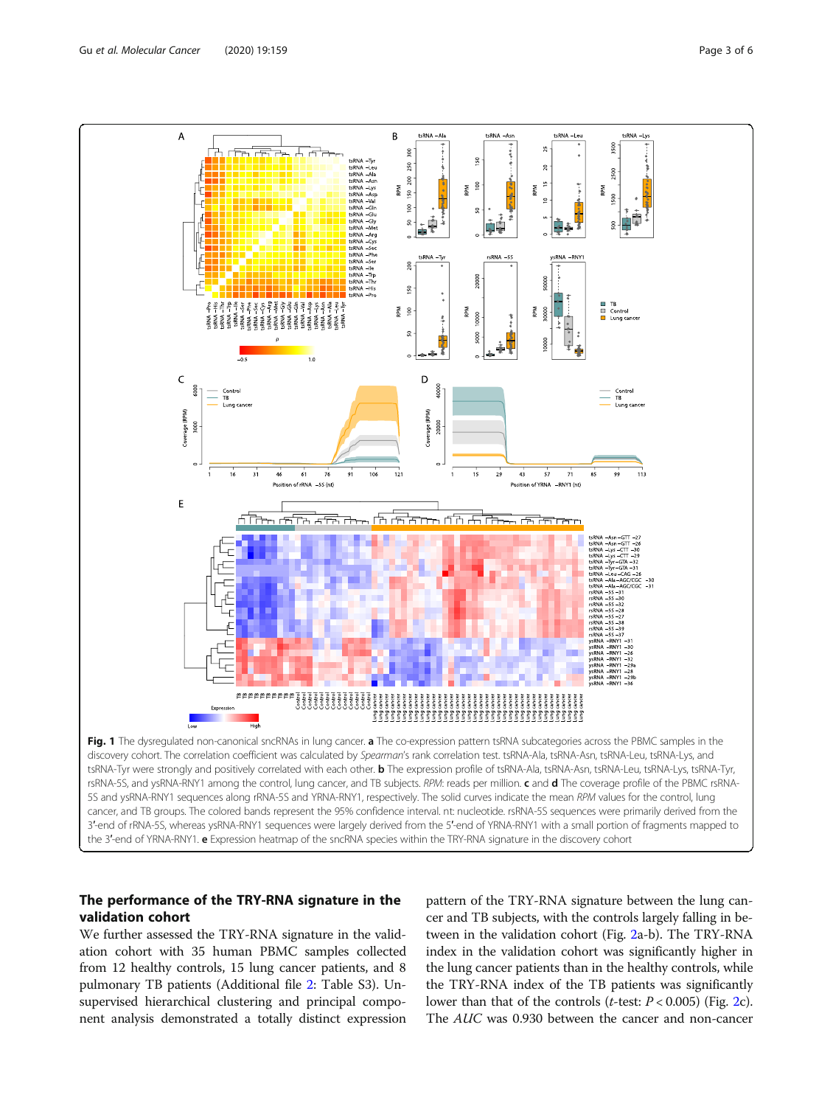<span id="page-2-0"></span>

## The performance of the TRY-RNA signature in the

validation cohort

We further assessed the TRY-RNA signature in the validation cohort with 35 human PBMC samples collected from 12 healthy controls, 15 lung cancer patients, and 8 pulmonary TB patients (Additional file [2](#page-4-0): Table S3). Unsupervised hierarchical clustering and principal component analysis demonstrated a totally distinct expression

pattern of the TRY-RNA signature between the lung cancer and TB subjects, with the controls largely falling in between in the validation cohort (Fig. [2a](#page-3-0)-b). The TRY-RNA index in the validation cohort was significantly higher in the lung cancer patients than in the healthy controls, while the TRY-RNA index of the TB patients was significantly lower than that of the controls (*t*-test:  $P < 0.005$ ) (Fig. [2](#page-3-0)c). The AUC was 0.930 between the cancer and non-cancer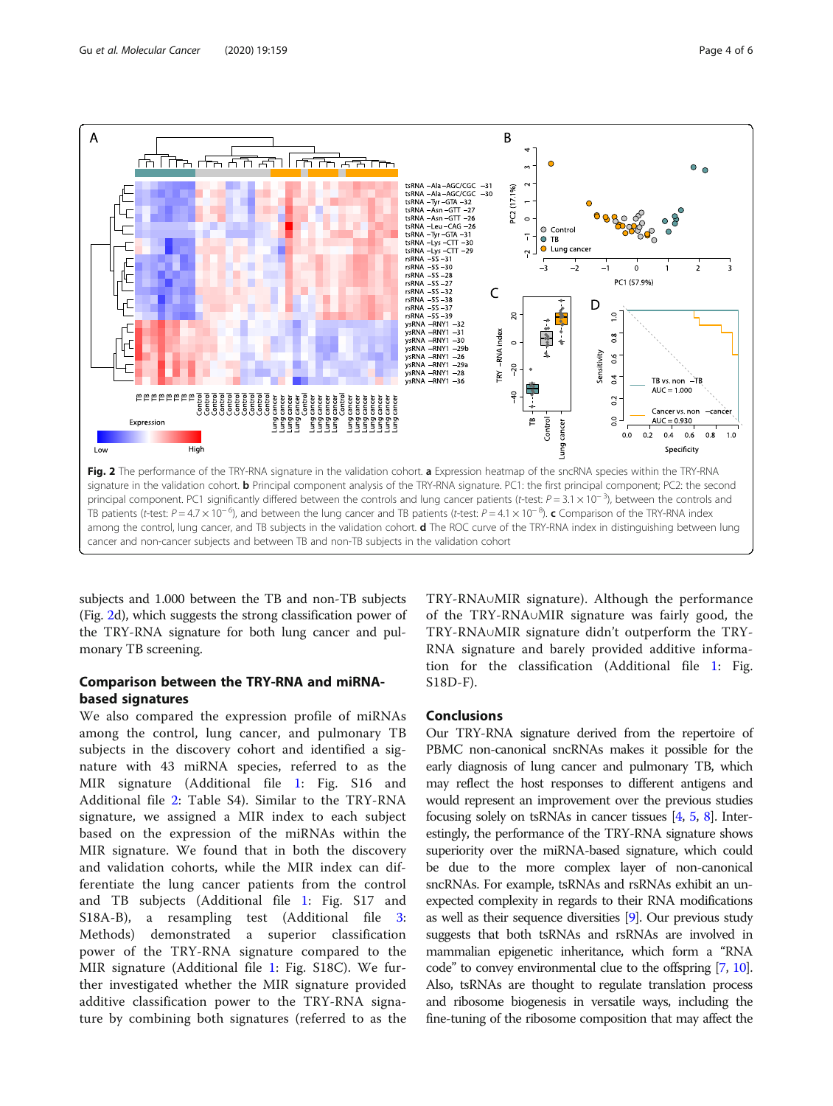<span id="page-3-0"></span>

subjects and 1.000 between the TB and non-TB subjects (Fig. 2d), which suggests the strong classification power of the TRY-RNA signature for both lung cancer and pulmonary TB screening.

## Comparison between the TRY-RNA and miRNAbased signatures

We also compared the expression profile of miRNAs among the control, lung cancer, and pulmonary TB subjects in the discovery cohort and identified a signature with 43 miRNA species, referred to as the MIR signature (Additional file [1](#page-4-0): Fig. S16 and Additional file [2:](#page-4-0) Table S4). Similar to the TRY-RNA signature, we assigned a MIR index to each subject based on the expression of the miRNAs within the MIR signature. We found that in both the discovery and validation cohorts, while the MIR index can differentiate the lung cancer patients from the control and TB subjects (Additional file [1](#page-4-0): Fig. S17 and S18A-B), a resampling test (Additional file [3](#page-4-0): Methods) demonstrated a superior classification power of the TRY-RNA signature compared to the MIR signature (Additional file [1](#page-4-0): Fig. S18C). We further investigated whether the MIR signature provided additive classification power to the TRY-RNA signature by combining both signatures (referred to as the

TRY-RNA∪MIR signature). Although the performance of the TRY-RNA∪MIR signature was fairly good, the TRY-RNA∪MIR signature didn't outperform the TRY-RNA signature and barely provided additive information for the classification (Additional file [1](#page-4-0): Fig. S18D-F).

## **Conclusions**

Our TRY-RNA signature derived from the repertoire of PBMC non-canonical sncRNAs makes it possible for the early diagnosis of lung cancer and pulmonary TB, which may reflect the host responses to different antigens and would represent an improvement over the previous studies focusing solely on tsRNAs in cancer tissues  $[4, 5, 8]$  $[4, 5, 8]$  $[4, 5, 8]$  $[4, 5, 8]$  $[4, 5, 8]$ . Interestingly, the performance of the TRY-RNA signature shows superiority over the miRNA-based signature, which could be due to the more complex layer of non-canonical sncRNAs. For example, tsRNAs and rsRNAs exhibit an unexpected complexity in regards to their RNA modifications as well as their sequence diversities [[9](#page-5-0)]. Our previous study suggests that both tsRNAs and rsRNAs are involved in mammalian epigenetic inheritance, which form a "RNA code" to convey environmental clue to the offspring [\[7](#page-4-0), [10](#page-5-0)]. Also, tsRNAs are thought to regulate translation process and ribosome biogenesis in versatile ways, including the fine-tuning of the ribosome composition that may affect the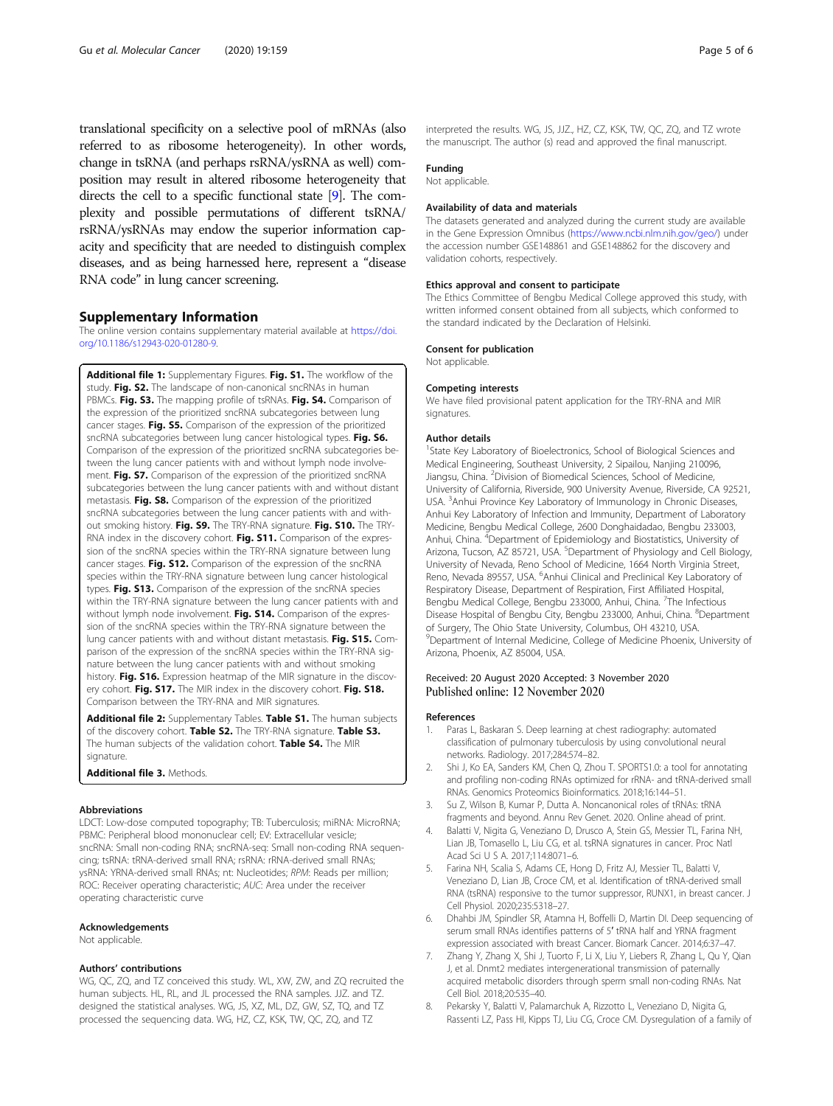<span id="page-4-0"></span>translational specificity on a selective pool of mRNAs (also referred to as ribosome heterogeneity). In other words, change in tsRNA (and perhaps rsRNA/ysRNA as well) composition may result in altered ribosome heterogeneity that directs the cell to a specific functional state [\[9](#page-5-0)]. The complexity and possible permutations of different tsRNA/ rsRNA/ysRNAs may endow the superior information capacity and specificity that are needed to distinguish complex diseases, and as being harnessed here, represent a "disease RNA code" in lung cancer screening.

#### Supplementary Information

The online version contains supplementary material available at [https://doi.](https://doi.org/10.1186/s12943-020-01280-9) [org/10.1186/s12943-020-01280-9.](https://doi.org/10.1186/s12943-020-01280-9)

Additional file 1: Supplementary Figures. Fig. S1. The workflow of the study. Fig. S2. The landscape of non-canonical sncRNAs in human PBMCs. Fig. S3. The mapping profile of tsRNAs. Fig. S4. Comparison of the expression of the prioritized sncRNA subcategories between lung cancer stages. Fig. S5. Comparison of the expression of the prioritized sncRNA subcategories between lung cancer histological types. Fig. S6. Comparison of the expression of the prioritized sncRNA subcategories between the lung cancer patients with and without lymph node involvement. Fig. S7. Comparison of the expression of the prioritized sncRNA subcategories between the lung cancer patients with and without distant metastasis. Fig. S8. Comparison of the expression of the prioritized sncRNA subcategories between the lung cancer patients with and without smoking history. Fig. S9. The TRY-RNA signature. Fig. S10. The TRY-RNA index in the discovery cohort. Fig. S11. Comparison of the expression of the sncRNA species within the TRY-RNA signature between lung cancer stages. Fig. S12. Comparison of the expression of the sncRNA species within the TRY-RNA signature between lung cancer histological types. Fig. S13. Comparison of the expression of the sncRNA species within the TRY-RNA signature between the lung cancer patients with and without lymph node involvement. Fig. S14. Comparison of the expression of the sncRNA species within the TRY-RNA signature between the lung cancer patients with and without distant metastasis. Fig. S15. Comparison of the expression of the sncRNA species within the TRY-RNA signature between the lung cancer patients with and without smoking history. Fig. S16. Expression heatmap of the MIR signature in the discovery cohort. Fig. S17. The MIR index in the discovery cohort. Fig. S18. Comparison between the TRY-RNA and MIR signatures.

Additional file 2: Supplementary Tables. Table S1. The human subjects of the discovery cohort. Table S2. The TRY-RNA signature. Table S3. The human subjects of the validation cohort. Table S4. The MIR signature.

Additional file 3. Methods.

### Abbreviations

LDCT: Low-dose computed topography; TB: Tuberculosis; miRNA: MicroRNA; PBMC: Peripheral blood mononuclear cell; EV: Extracellular vesicle; sncRNA: Small non-coding RNA; sncRNA-seq: Small non-coding RNA sequencing; tsRNA: tRNA-derived small RNA; rsRNA: rRNA-derived small RNAs; ysRNA: YRNA-derived small RNAs; nt: Nucleotides; RPM: Reads per million; ROC: Receiver operating characteristic; AUC: Area under the receiver operating characteristic curve

#### Acknowledgements

Not applicable.

#### Authors' contributions

WG, QC, ZQ, and TZ conceived this study. WL, XW, ZW, and ZQ recruited the human subjects. HL, RL, and JL processed the RNA samples. JJZ. and TZ. designed the statistical analyses. WG, JS, XZ, ML, DZ, GW, SZ, TQ, and TZ processed the sequencing data. WG, HZ, CZ, KSK, TW, QC, ZQ, and TZ

interpreted the results. WG, JS, JJZ., HZ, CZ, KSK, TW, QC, ZQ, and TZ wrote the manuscript. The author (s) read and approved the final manuscript.

## Funding

Not applicable.

### Availability of data and materials

The datasets generated and analyzed during the current study are available in the Gene Expression Omnibus (<https://www.ncbi.nlm.nih.gov/geo/>) under the accession number GSE148861 and GSE148862 for the discovery and validation cohorts, respectively.

#### Ethics approval and consent to participate

The Ethics Committee of Bengbu Medical College approved this study, with written informed consent obtained from all subjects, which conformed to the standard indicated by the Declaration of Helsinki.

## Consent for publication

Not applicable.

#### Competing interests

We have filed provisional patent application for the TRY-RNA and MIR signatures.

#### Author details

<sup>1</sup>State Key Laboratory of Bioelectronics, School of Biological Sciences and Medical Engineering, Southeast University, 2 Sipailou, Nanjing 210096, Jiangsu, China. <sup>2</sup> Division of Biomedical Sciences, School of Medicine, University of California, Riverside, 900 University Avenue, Riverside, CA 92521, USA. <sup>3</sup> Anhui Province Key Laboratory of Immunology in Chronic Diseases Anhui Key Laboratory of Infection and Immunity, Department of Laboratory Medicine, Bengbu Medical College, 2600 Donghaidadao, Bengbu 233003, Anhui, China. <sup>4</sup>Department of Epidemiology and Biostatistics, University of Arizona, Tucson, AZ 85721, USA. <sup>5</sup>Department of Physiology and Cell Biology University of Nevada, Reno School of Medicine, 1664 North Virginia Street, Reno, Nevada 89557, USA. <sup>6</sup>Anhui Clinical and Preclinical Key Laboratory of Respiratory Disease, Department of Respiration, First Affiliated Hospital, Bengbu Medical College, Bengbu 233000, Anhui, China. <sup>7</sup>The Infectious Disease Hospital of Bengbu City, Bengbu 233000, Anhui, China. <sup>8</sup>Department of Surgery, The Ohio State University, Columbus, OH 43210, USA. <sup>9</sup>Department of Internal Medicine, College of Medicine Phoenix, University of Arizona, Phoenix, AZ 85004, USA.

## Received: 20 August 2020 Accepted: 3 November 2020 Published online: 12 November 2020

#### References

- Paras L, Baskaran S. Deep learning at chest radiography: automated classification of pulmonary tuberculosis by using convolutional neural networks. Radiology. 2017;284:574–82.
- 2. Shi J, Ko EA, Sanders KM, Chen Q, Zhou T. SPORTS1.0: a tool for annotating and profiling non-coding RNAs optimized for rRNA- and tRNA-derived small RNAs. Genomics Proteomics Bioinformatics. 2018;16:144–51.
- 3. Su Z, Wilson B, Kumar P, Dutta A. Noncanonical roles of tRNAs: tRNA fragments and beyond. Annu Rev Genet. 2020. Online ahead of print.
- 4. Balatti V, Nigita G, Veneziano D, Drusco A, Stein GS, Messier TL, Farina NH, Lian JB, Tomasello L, Liu CG, et al. tsRNA signatures in cancer. Proc Natl Acad Sci U S A. 2017;114:8071–6.
- Farina NH, Scalia S, Adams CE, Hong D, Fritz AJ, Messier TL, Balatti V, Veneziano D, Lian JB, Croce CM, et al. Identification of tRNA-derived small RNA (tsRNA) responsive to the tumor suppressor, RUNX1, in breast cancer. J Cell Physiol. 2020;235:5318–27.
- 6. Dhahbi JM, Spindler SR, Atamna H, Boffelli D, Martin DI. Deep sequencing of serum small RNAs identifies patterns of 5′ tRNA half and YRNA fragment expression associated with breast Cancer. Biomark Cancer. 2014;6:37–47.
- 7. Zhang Y, Zhang X, Shi J, Tuorto F, Li X, Liu Y, Liebers R, Zhang L, Qu Y, Qian J, et al. Dnmt2 mediates intergenerational transmission of paternally acquired metabolic disorders through sperm small non-coding RNAs. Nat Cell Biol. 2018;20:535–40.
- 8. Pekarsky Y, Balatti V, Palamarchuk A, Rizzotto L, Veneziano D, Nigita G, Rassenti LZ, Pass HI, Kipps TJ, Liu CG, Croce CM. Dysregulation of a family of